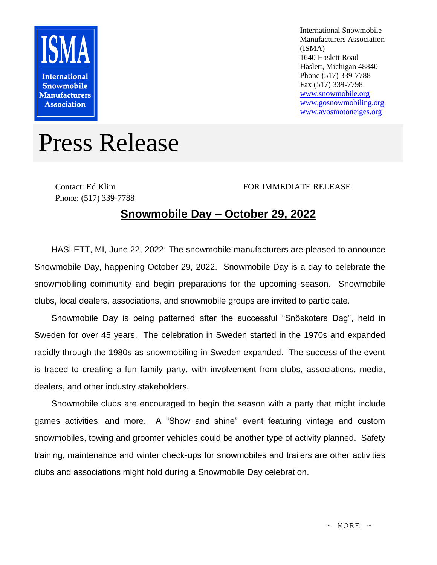

International Snowmobile Manufacturers Association (ISMA) 1640 Haslett Road Haslett, Michigan 48840 Phone (517) 339-7788 Fax (517) 339-7798 [www.snowmobile.org](http://www.snowmobile.org/) [www.gosnowmobiling.org](http://www.gosnowmobiling.org/) [www.avosmotoneiges.org](http://www.avosmotoneiges.org/)

## Press Release

Contact: Ed Klim Phone: (517) 339-7788

## FOR IMMEDIATE RELEASE

## **Snowmobile Day – October 29, 2022**

HASLETT, MI, June 22, 2022: The snowmobile manufacturers are pleased to announce Snowmobile Day, happening October 29, 2022. Snowmobile Day is a day to celebrate the snowmobiling community and begin preparations for the upcoming season. Snowmobile clubs, local dealers, associations, and snowmobile groups are invited to participate.

Snowmobile Day is being patterned after the successful "Snöskoters Dag", held in Sweden for over 45 years. The celebration in Sweden started in the 1970s and expanded rapidly through the 1980s as snowmobiling in Sweden expanded. The success of the event is traced to creating a fun family party, with involvement from clubs, associations, media, dealers, and other industry stakeholders.

Snowmobile clubs are encouraged to begin the season with a party that might include games activities, and more. A "Show and shine" event featuring vintage and custom snowmobiles, towing and groomer vehicles could be another type of activity planned. Safety training, maintenance and winter check-ups for snowmobiles and trailers are other activities clubs and associations might hold during a Snowmobile Day celebration.